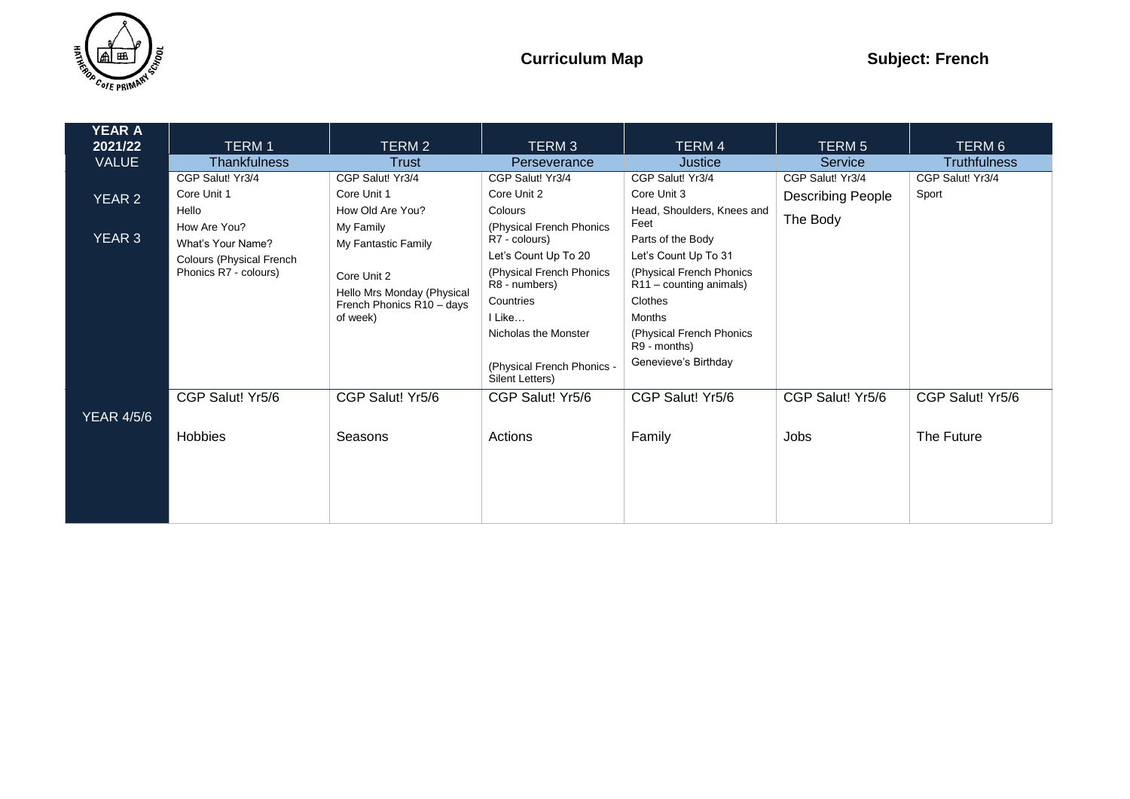

| YEAR A            |                          |                            |                                               |                                          |                          |                     |
|-------------------|--------------------------|----------------------------|-----------------------------------------------|------------------------------------------|--------------------------|---------------------|
| 2021/22           | <b>TERM1</b>             | TERM 2                     | TERM <sub>3</sub>                             | TERM 4                                   | <b>TERM 5</b>            | TERM 6              |
| <b>VALUE</b>      | <b>Thankfulness</b>      | <b>Trust</b>               | Perseverance                                  | Justice                                  | Service                  | <b>Truthfulness</b> |
|                   | CGP Salut! Yr3/4         | CGP Salut! Yr3/4           | CGP Salut! Yr3/4                              | CGP Salut! Yr3/4                         | CGP Salut! Yr3/4         | CGP Salut! Yr3/4    |
| YEAR 2            | Core Unit 1              | Core Unit 1                | Core Unit 2                                   | Core Unit 3                              | <b>Describing People</b> | Sport               |
|                   | Hello                    | How Old Are You?           | Colours                                       | Head, Shoulders, Knees and               |                          |                     |
| YEAR 3            | How Are You?             | My Family                  | (Physical French Phonics                      | Feet                                     | The Body                 |                     |
|                   | What's Your Name?        | My Fantastic Family        | R7 - colours)                                 | Parts of the Body                        |                          |                     |
|                   | Colours (Physical French |                            | Let's Count Up To 20                          | Let's Count Up To 31                     |                          |                     |
|                   | Phonics R7 - colours)    | Core Unit 2                | (Physical French Phonics                      | (Physical French Phonics                 |                          |                     |
|                   |                          | Hello Mrs Monday (Physical | R8 - numbers)                                 | R11 - counting animals)                  |                          |                     |
|                   |                          | French Phonics R10 - days  | Countries                                     | Clothes                                  |                          |                     |
|                   |                          | of week)                   | I Like                                        | <b>Months</b>                            |                          |                     |
|                   |                          |                            | Nicholas the Monster                          | (Physical French Phonics<br>R9 - months) |                          |                     |
|                   |                          |                            | (Physical French Phonics -<br>Silent Letters) | Genevieve's Birthday                     |                          |                     |
|                   | CGP Salut! Yr5/6         | CGP Salut! Yr5/6           | CGP Salut! Yr5/6                              | CGP Salut! Yr5/6                         | CGP Salut! Yr5/6         | CGP Salut! Yr5/6    |
| <b>YEAR 4/5/6</b> |                          |                            |                                               |                                          |                          |                     |
|                   | Hobbies                  | Seasons                    | Actions                                       | Family                                   | Jobs                     | The Future          |
|                   |                          |                            |                                               |                                          |                          |                     |
|                   |                          |                            |                                               |                                          |                          |                     |
|                   |                          |                            |                                               |                                          |                          |                     |
|                   |                          |                            |                                               |                                          |                          |                     |
|                   |                          |                            |                                               |                                          |                          |                     |